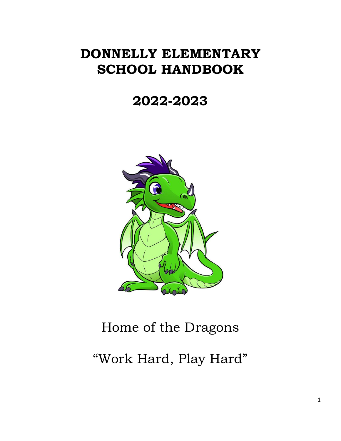# **DONNELLY ELEMENTARY SCHOOL HANDBOOK**

# **2022-2023**



# Home of the Dragons

"Work Hard, Play Hard"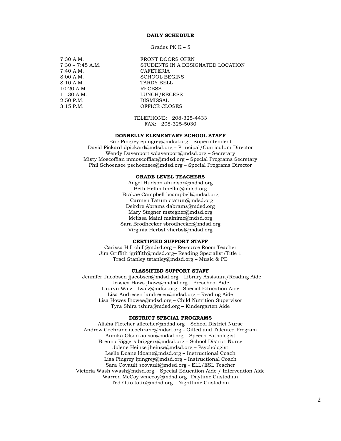#### **DAILY SCHEDULE**

Grades PK K – 5

7:40 A.M. CAFETERIA  $10:20$  A.M. 2:50 P.M. DISMISSAL

7:30 A.M. FRONT DOORS OPEN 7:30 – 7:45 A.M. STUDENTS IN A DESIGNATED LOCATION 8:00 A.M.<br>8:10 A.M. SCHOOL BEGINS TARDY BELL RECESS 11:30 A.M. LUNCH/RECESS 3:15 P.M. OFFICE CLOSES

> TELEPHONE: 208-325-4433 FAX: 208-325-5030

#### **DONNELLY ELEMENTARY SCHOOL STAFF**

Eric Pingrey epingrey@mdsd.org - Superintendent David Pickard [dpickard@mdsd.org](mailto:dpickard@mdsd.org) – Principal/Curriculum Director Wendy Davenport [wdavenport@mdsd.org](mailto:wdavenport@mdsd.org) – Secretary Misty Moscoffian [mmoscoffian@mdsd.org](mailto:mmoscoffian@mdsd.org) – Special Programs Secretary Phil Schoensee [pschoensee@mdsd.org](mailto:pschoensee@mdsd.org) – Special Programs Director

#### **GRADE LEVEL TEACHERS**

Angel Hudson [ahudson@mdsd.org](mailto:ahudson@mdsd.org) Beth Heflin [bheflin@mdsd.org](mailto:bheflin@mdsd.org)  Brakae Campbell [bcampbell@mdsd.org](mailto:bcampbell@mdsd.org)  Carmen Tatum ctatum@mdsd.org Deirdre Abrams dabrams@mdsd.org Mary Stegner [mstegner@mdsd.org](mailto:mstegner@mdsd.org) Melissa Maini [mainime@mdsd.org](mailto:mainime@mdsd.org) Sara Brodhecker sbrodhecker@mdsd.org Virginia Herbst [vherbst@mdsd.org](mailto:vherbst@mdsd.org) 

#### **CERTIFIED SUPPORT STAFF**

Carissa Hill chill@mdsd.org – Resource Room Teacher Jim Griffith jgriffith@mdsd.org– Reading Specialist/Title 1 Traci Stanley tstanley@mdsd.org – Music & PE

### **CLASSIFIED SUPPORT STAFF**

Jennifer Jacobsen jjacobsen@mdsd.org – Library Assistant/Reading Aide Jessica Haws jhaws@mdsd.org – Preschool Aide Lauryn Walz – [lwalz@mdsd.org](mailto:lwalz@mdsd.org) – Special Education Aide Lisa Andresen [landresen@mdsd.org](mailto:landresen@mdsd.org) – Reading Aide Lisa Howes [lhowes@mdsd.org](mailto:lhowes@mdsd.org) – Child Nutrition Supervisor Tyra Shira [tshira@mdsd.org](mailto:tshira@mdsd.org) – Kindergarten Aide

#### **DISTRICT SPECIAL PROGRAMS**

Alisha Fletcher [afletcher@mdsd.org](mailto:afletcher@mdsd.org) – School District Nurse Andrew Cochrane [acochrane@mdsd.org](mailto:acochrane@mdsd.org) - Gifted and Talented Program Annika Olson aolson@mdsd.org – Speech Pathologist Brenna Riggers [briggers@mdsd.org](mailto:briggers@mdsd.org) – School District Nurse Jolene Heinze [jheinze@mdsd.org](mailto:jheinze@mdsd.org) – Psychologist Leslie Doane [ldoane@mdsd.org](mailto:ldoane@mdsd.org) – Instructional Coach Lisa Pingrey [lpingrey@mdsd.org](mailto:lpingrey@mdsd.org) – Instructional Coach Sara Covault [scovault@mdsd.org](mailto:scovault@mdsd.org) - ELL/ESL Teacher Victoria Wash [vwash@mdsd.org](mailto:vwash@mdsd.org) – Special Education Aide / Intervention Aide Warren McCoy wmccoy@mdsd.org– Daytime Custodian Ted Otto [totto@mdsd.org](mailto:totto@mdsd.org) – Nighttime Custodian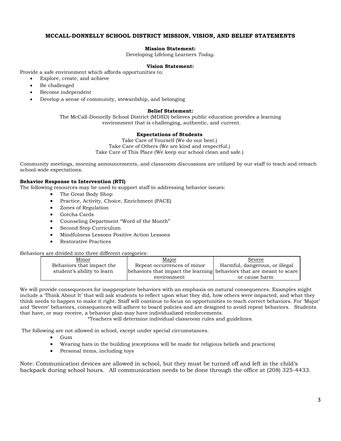## **MCCALL-DONNELLY SCHOOL DISTRICT MISSION, VISION, AND BELIEF STATEMENTS**

#### **Mission Statement:**

Developing Lifelong Learners *Today.*

#### **Vision Statement:**

Provide a safe environment which affords opportunities to:

- Explore, create, and achieve
- Be challenged
- Become independent
- Develop a sense of community, stewardship, and belonging

#### **Belief Statement:**

The McCall-Donnelly School District (MDSD) believes public education provides a learning environment that is challenging, authentic, and current.

#### **Expectations of Students**

Take Care of Yourself (We do our best.) Take Care of Others (We are kind and respectful.) Take Care of This Place (We keep our school clean and safe.)

Community meetings, morning announcements, and classroom discussions are utilized by our staff to teach and reteach school-wide expectations.

#### **Behavior Response to Intervention (RTI)**

The following resources may be used to support staff in addressing behavior issues:

- The Great Body Shop
- Practice, Activity, Choice, Enrichment (PACE)
- Zones of Regulation
- Gotcha Cards
- Counseling Department "Word of the Month"
- Second Step Curriculum
- Mindfulness Lessons Positive Action Lessons
- Restorative Practices

#### Behaviors are divided into three different categories:

| Minor                      | Major                                                                | Severe                         |
|----------------------------|----------------------------------------------------------------------|--------------------------------|
| Behaviors that impact the  | Repeat occurrences of minor                                          | Harmful, dangerous, or illegal |
| student's ability to learn | behaviors that impact the learning behaviors that are meant to scare |                                |
|                            | environment                                                          | or cause harm                  |

We will provide consequences for inappropriate behaviors with an emphasis on natural consequences. Examples might include a 'Think About It' that will ask students to reflect upon what they did, how others were impacted, and what they think needs to happen to make it right. Staff will continue to focus on opportunities to teach correct behaviors. For 'Major' and 'Severe' behaviors, consequences will adhere to board policies and are designed to avoid repeat behaviors. Students that have, or may receive, a behavior plan may have individualized reinforcements.

\*Teachers will determine individual classroom rules and guidelines.

The following are not allowed in school, except under special circumstances.

- Gum
- Wearing hats in the building (exceptions will be made for religious beliefs and practices)
- Personal items, including toys

Note: Communication devices are allowed in school, but they must be turned off and left in the child's backpack during school hours. All communication needs to be done through the office at (208) 325-4433.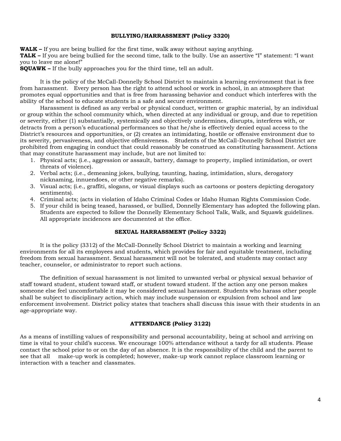#### **BULLYING/HARRASSMENT (Policy 3320)**

**WALK –** If you are being bullied for the first time, walk away without saying anything.

**TALK –** If you are being bullied for the second time, talk to the bully. Use an assertive "I" statement: "I want you to leave me alone!"

**SQUAWK –** If the bully approaches you for the third time, tell an adult.

It is the policy of the McCall-Donnelly School District to maintain a learning environment that is free from harassment. Every person has the right to attend school or work in school, in an atmosphere that promotes equal opportunities and that is free from harassing behavior and conduct which interferes with the ability of the school to educate students in a safe and secure environment.

Harassment is defined as any verbal or physical conduct, written or graphic material, by an individual or group within the school community which, when directed at any individual or group, and due to repetition or severity, either (1) substantially, systemically and objectively undermines, disrupts, interferes with, or detracts from a person's educational performances so that he/she is effectively denied equal access to the District's resources and opportunities, or (2) creates an intimidating, hostile or offensive environment due to its severity, pervasiveness, and objective offensiveness. Students of the McCall-Donnelly School District are prohibited from engaging in conduct that could reasonably be construed as constituting harassment. Actions that may constitute harassment may include, but are not limited to:

- 1. Physical acts; (i.e., aggression or assault, battery, damage to property, implied intimidation, or overt threats of violence).
- 2. Verbal acts; (i.e., demeaning jokes, bullying, taunting, hazing, intimidation, slurs, derogatory nicknaming, innuendoes, or other negative remarks).
- 3. Visual acts; (i.e., graffiti, slogans, or visual displays such as cartoons or posters depicting derogatory sentiments).
- 4. Criminal acts; (acts in violation of Idaho Criminal Codes or Idaho Human Rights Commission Code.
- 5. If your child is being teased, harassed, or bullied, Donnelly Elementary has adopted the following plan. Students are expected to follow the Donnelly Elementary School Talk, Walk, and Squawk guidelines. All appropriate incidences are documented at the office.

#### **SEXUAL HARRASSMENT (Policy 3322)**

It is the policy (3312) of the McCall-Donnelly School District to maintain a working and learning environments for all its employees and students, which provides for fair and equitable treatment, including freedom from sexual harassment. Sexual harassment will not be tolerated, and students may contact any teacher, counselor, or administrator to report such actions.

The definition of sexual harassment is not limited to unwanted verbal or physical sexual behavior of staff toward student, student toward staff, or student toward student. If the action any one person makes someone else feel uncomfortable it may be considered sexual harassment. Students who harass other people shall be subject to disciplinary action, which may include suspension or expulsion from school and law enforcement involvement. District policy states that teachers shall discuss this issue with their students in an age-appropriate way.

#### **ATTENDANCE (Policy 3122)**

As a means of instilling values of responsibility and personal accountability, being at school and arriving on time is vital to your child's success. We encourage 100% attendance without a tardy for all students. Please contact the school prior to or on the day of an absence. It is the responsibility of the child and the parent to see that all make-up work is completed; however, make-up work cannot replace classroom learning or interaction with a teacher and classmates.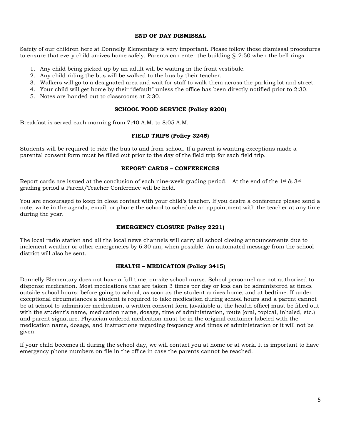#### **END OF DAY DISMISSAL**

Safety of our children here at Donnelly Elementary is very important. Please follow these dismissal procedures to ensure that every child arrives home safely. Parents can enter the building  $\omega$  2:50 when the bell rings.

- 1. Any child being picked up by an adult will be waiting in the front vestibule.
- 2. Any child riding the bus will be walked to the bus by their teacher.
- 3. Walkers will go to a designated area and wait for staff to walk them across the parking lot and street.
- 4. Your child will get home by their "default" unless the office has been directly notified prior to 2:30.
- 5. Notes are handed out to classrooms at 2:30.

### **SCHOOL FOOD SERVICE (Policy 8200)**

Breakfast is served each morning from 7:40 A.M. to 8:05 A.M.

### **FIELD TRIPS (Policy 3245)**

Students will be required to ride the bus to and from school. If a parent is wanting exceptions made a parental consent form must be filled out prior to the day of the field trip for each field trip.

## **REPORT CARDS – CONFERENCES**

Report cards are issued at the conclusion of each nine-week grading period. At the end of the 1<sup>st</sup> & 3<sup>rd</sup> grading period a Parent/Teacher Conference will be held.

You are encouraged to keep in close contact with your child's teacher. If you desire a conference please send a note, write in the agenda, email, or phone the school to schedule an appointment with the teacher at any time during the year.

### **EMERGENCY CLOSURE (Policy 2221)**

The local radio station and all the local news channels will carry all school closing announcements due to inclement weather or other emergencies by 6:30 am, when possible. An automated message from the school district will also be sent.

### **HEALTH – MEDICATION (Policy 3415)**

Donnelly Elementary does not have a full time, on-site school nurse. School personnel are not authorized to dispense medication. Most medications that are taken 3 times per day or less can be administered at times outside school hours: before going to school, as soon as the student arrives home, and at bedtime. If under exceptional circumstances a student is required to take medication during school hours and a parent cannot be at school to administer medication, a written consent form (available at the health office) must be filled out with the student's name, medication name, dosage, time of administration, route (oral, topical, inhaled, etc.) and parent signature. Physician ordered medication must be in the original container labeled with the medication name, dosage, and instructions regarding frequency and times of administration or it will not be given.

If your child becomes ill during the school day, we will contact you at home or at work. It is important to have emergency phone numbers on file in the office in case the parents cannot be reached.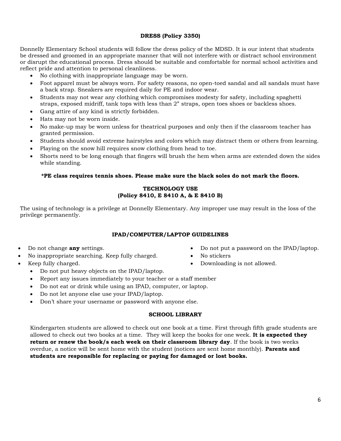# **DRESS (Policy 3350)**

Donnelly Elementary School students will follow the dress policy of the MDSD. It is our intent that students be dressed and groomed in an appropriate manner that will not interfere with or distract school environment or disrupt the educational process. Dress should be suitable and comfortable for normal school activities and reflect pride and attention to personal cleanliness.

- No clothing with inappropriate language may be worn.
- Foot apparel must be always worn. For safety reasons, no open-toed sandal and all sandals must have a back strap. Sneakers are required daily for PE and indoor wear.
- Students may not wear any clothing which compromises modesty for safety, including spaghetti straps, exposed midriff, tank tops with less than 2" straps, open toes shoes or backless shoes.
- Gang attire of any kind is strictly forbidden.
- Hats may not be worn inside.
- No make-up may be worn unless for theatrical purposes and only then if the classroom teacher has granted permission.
- Students should avoid extreme hairstyles and colors which may distract them or others from learning.
- Playing on the snow hill requires snow clothing from head to toe.
- Shorts need to be long enough that fingers will brush the hem when arms are extended down the sides while standing.

# **\*PE class requires tennis shoes. Please make sure the black soles do not mark the floors.**

# **TECHNOLOGY USE (Policy 8410, E 8410 A, & E 8410 B)**

The using of technology is a privilege at Donnelly Elementary. Any improper use may result in the loss of the privilege permanently.

# **IPAD/COMPUTER/LAPTOP GUIDELINES**

- Do not change **any** settings.
- No inappropriate searching. Keep fully charged.
- Keep fully charged.
	- Do not put heavy objects on the IPAD/laptop.
	- Report any issues immediately to your teacher or a staff member
	- Do not eat or drink while using an IPAD, computer, or laptop.
	- Do not let anyone else use your IPAD/laptop.
	- Don't share your username or password with anyone else.

# **SCHOOL LIBRARY**

Kindergarten students are allowed to check out one book at a time. First through fifth grade students are allowed to check out two books at a time. They will keep the books for one week. **It is expected they return or renew the book/s each week on their classroom library day**. If the book is two weeks overdue, a notice will be sent home with the student (notices are sent home monthly). **Parents and students are responsible for replacing or paying for damaged or lost books.**

• Do not put a password on the IPAD/laptop.

• Downloading is not allowed.

No stickers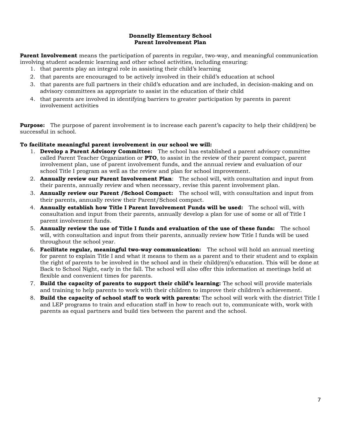## **Donnelly Elementary School Parent Involvement Plan**

**Parent Involvement** means the participation of parents in regular, two-way, and meaningful communication involving student academic learning and other school activities, including ensuring:

- 1. that parents play an integral role in assisting their child's learning
- 2. that parents are encouraged to be actively involved in their child's education at school
- 3. that parents are full partners in their child's education and are included, in decision-making and on advisory committees as appropriate to assist in the education of their child
- 4. that parents are involved in identifying barriers to greater participation by parents in parent involvement activities

**Purpose:** The purpose of parent involvement is to increase each parent's capacity to help their child(ren) be successful in school.

### **To facilitate meaningful parent involvement in our school we will:**

- 1. **Develop a Parent Advisory Committee:** The school has established a parent advisory committee called Parent Teacher Organization or **PTO**, to assist in the review of their parent compact, parent involvement plan, use of parent involvement funds, and the annual review and evaluation of our school Title I program as well as the review and plan for school improvement.
- 2. **Annually review our Parent Involvement Plan**: The school will, with consultation and input from their parents, annually review and when necessary, revise this parent involvement plan.
- 3. **Annually review our Parent /School Compact:** The school will, with consultation and input from their parents, annually review their Parent/School compact.
- 4. **Annually establish how Title I Parent Involvement Funds will be used:** The school will, with consultation and input from their parents, annually develop a plan for use of some or all of Title I parent involvement funds.
- 5. **Annually review the use of Title I funds and evaluation of the use of these funds:** The school will, with consultation and input from their parents, annually review how Title I funds will be used throughout the school year.
- 6. **Facilitate regular, meaningful two-way communication:** The school will hold an annual meeting for parent to explain Title I and what it means to them as a parent and to their student and to explain the right of parents to be involved in the school and in their child(ren)'s education. This will be done at Back to School Night, early in the fall. The school will also offer this information at meetings held at flexible and convenient times for parents.
- 7. **Build the capacity of parents to support their child's learning:** The school will provide materials and training to help parents to work with their children to improve their children's achievement.
- 8. **Build the capacity of school staff to work with parents:** The school will work with the district Title I and LEP programs to train and education staff in how to reach out to, communicate with, work with parents as equal partners and build ties between the parent and the school.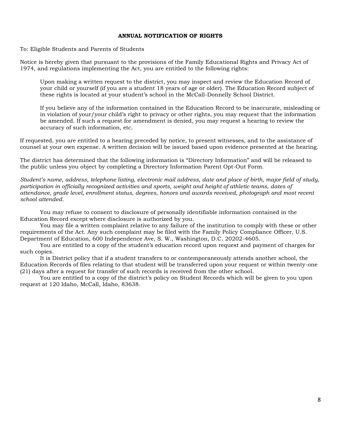#### **ANNUAL NOTIFICATION OF RIGHTS**

To: Eligible Students and Parents of Students

Notice is hereby given that pursuant to the provisions of the Family Educational Rights and Privacy Act of 1974, and regulations implementing the Act, you are entitled to the following rights:

Upon making a written request to the district, you may inspect and review the Education Record of your child or yourself (if you are a student 18 years of age or older). The Education Record subject of these rights is located at your student's school in the McCall-Donnelly School District.

If you believe any of the information contained in the Education Record to be inaccurate, misleading or in violation of your/your child's right to privacy or other rights, you may request that the information be amended. If such a request for amendment is denied, you may request a hearing to review the accuracy of such information, etc.

If requested, you are entitled to a hearing preceded by notice, to present witnesses, and to the assistance of counsel at your own expense. A written decision will be issued based upon evidence presented at the hearing.

The district has determined that the following information is "Directory Information" and will be released to the public unless you object by completing a Directory Information Parent Opt-Out Form.

*Student's name, address, telephone listing, electronic mail address, date and place of birth, major field of study, participation in officially recognized activities and sports, weight and height of athletic teams, dates of attendance, grade level, enrollment status, degrees, honors and awards received, photograph and most recent school attended.*

You may refuse to consent to disclosure of personally identifiable information contained in the Education Record except where disclosure is authorized by you.

You may file a written complaint relative to any failure of the institution to comply with these or other requirements of the Act. Any such complaint may be filed with the Family Policy Compliance Officer, U.S. Department of Education, 600 Independence Ave, S. W., Washington, D.C. 20202-4605.

You are entitled to a copy of the student's education record upon request and payment of charges for such copies.

It is District policy that if a student transfers to or contemporaneously attends another school, the Education Records of files relating to that student will be transferred upon your request or within twenty-one (21) days after a request for transfer of such records is received from the other school.

You are entitled to a copy of the district's policy on Student Records which will be given to you upon request at 120 Idaho, McCall, Idaho, 83638.